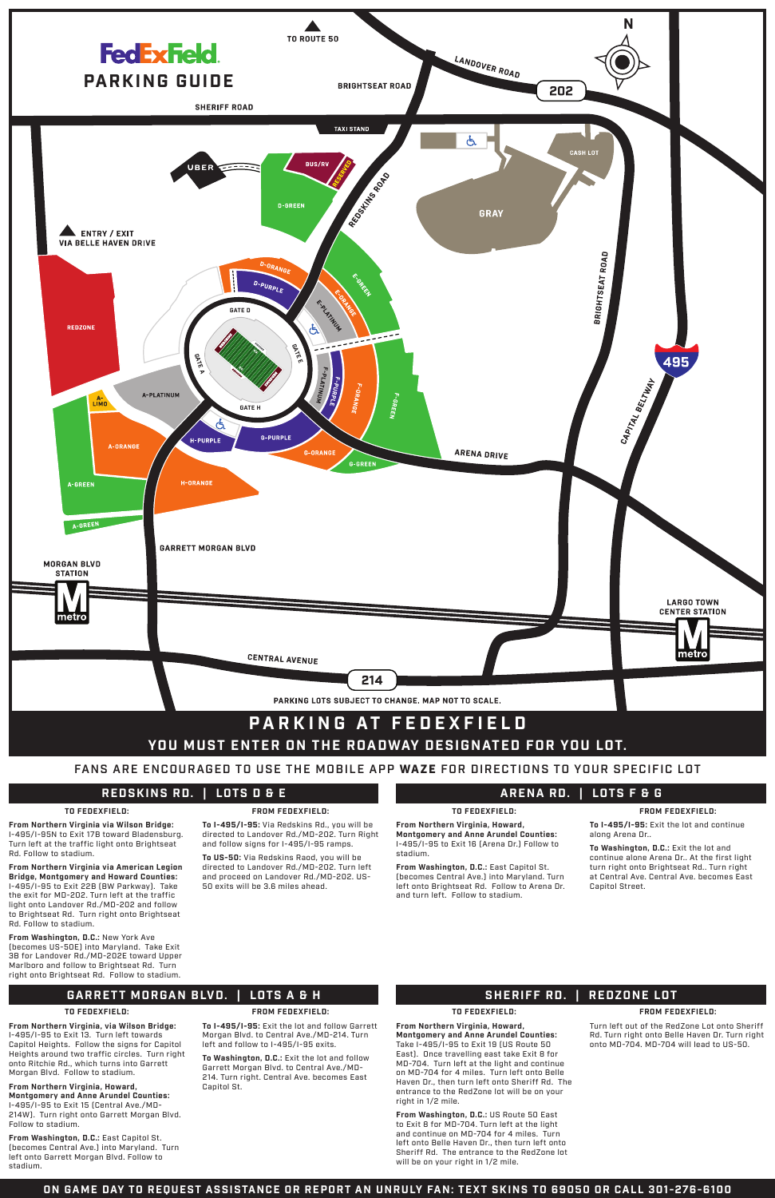

# **REDSKINS RD. | LOTS D & E**

# **GARRETT MORGAN BLVD. | LOTS A & H**

**ARENA RD. | LOTS F & G**

# **SHERIFF RD. | REDZONE LOT**

**TO FEDEXFIELD:**

**From Northern Virginia via Wilson Bridge:** I-495/I-95N to Exit 17B toward Bladensburg. Turn left at the traffic light onto Brightseat Rd. Follow to stadium.

**From Northern Virginia via American Legion Bridge, Montgomery and Howard Counties:** 

I-495/I-95 to Exit 22B (BW Parkway). Take the exit for MD-202. Turn left at the traffic light onto Landover Rd./MD-202 and follow to Brightseat Rd. Turn right onto Brightseat Rd. Follow to stadium.

**From Washington, D.C.:** New York Ave (becomes US-50E) into Maryland. Take Exit 3B for Landover Rd./MD-202E toward Upper Marlboro and follow to Brightseat Rd. Turn right onto Brightseat Rd. Follow to stadium.

# **FROM FEDEXFIELD:**

**To I-495/I-95:** Via Redskins Rd., you will be directed to Landover Rd./MD-202. Turn Right and follow signs for I-495/I-95 ramps.

**To US-50:** Via Redskins Raod, you will be directed to Landover Rd./MD-202. Turn left and proceed on Landover Rd./MD-202. US-

#### 50 exits will be 3.6 miles ahead.

### **TO FEDEXFIELD:**

**From Northern Virginia, via Wilson Bridge:**  I-495/I-95 to Exit 13. Turn left towards Capitol Heights. Follow the signs for Capitol Heights around two traffic circles. Turn right onto Ritchie Rd., which turns into Garrett Morgan Blvd. Follow to stadium.

# **From Northern Virginia, Howard, Montgomery and Anne Arundel Counties:** I-495/I-95 to Exit 15 (Central Ave./MD-

214W). Turn right onto Garrett Morgan Blvd. Follow to stadium.

**From Washington, D.C.:** East Capitol St. (becomes Central Ave.) into Maryland. Turn left onto Garrett Morgan Blvd. Follow to stadium.

## **FROM FEDEXFIELD:**

**To I-495/I-95:** Exit the lot and follow Garrett Morgan Blvd. to Central Ave./MD-214. Turn left and follow to I-495/I-95 exits.

**To Washington, D.C.:** Exit the lot and follow Garrett Morgan Blvd. to Central Ave./MD-214. Turn right. Central Ave. becomes East Capitol St.

**TO FEDEXFIELD:**

**From Northern Virginia, Howard, Montgomery and Anne Arundel Counties:**  I-495/I-95 to Exit 16 (Arena Dr.) Follow to stadium.

**From Washington, D.C.:** East Capitol St. (becomes Central Ave.) into Maryland. Turn

left onto Brightseat Rd. Follow to Arena Dr. and turn left. Follow to stadium.

**FROM FEDEXFIELD:**

**To I-495/I-95:** Exit the lot and continue along Arena Dr..

**To Washington, D.C.:** Exit the lot and continue alone Arena Dr.. At the first light turn right onto Brightseat Rd.. Turn right at Central Ave. Central Ave. becomes East

Capitol Street.

# **TO FEDEXFIELD:**

**From Northern Virginia, Howard, Montgomery and Anne Arundel Counties:** 

Take I-495/I-95 to Exit 19 (US Route 50 East). Once travelling east take Exit 8 for MD-704. Turn left at the light and continue on MD-704 for 4 miles. Turn left onto Belle Haven Dr., then turn left onto Sheriff Rd. The entrance to the RedZone lot will be on your right in 1/2 mile.

**From Washington, D.C.:** US Route 50 East to Exit 8 for MD-704. Turn left at the light and continue on MD-704 for 4 miles. Turn left onto Belle Haven Dr., then turn left onto Sheriff Rd. The entrance to the RedZone lot will be on your right in 1/2 mile.

## **FROM FEDEXFIELD:**

Turn left out of the RedZone Lot onto Sheriff Rd. Turn right onto Belle Haven Dr. Turn right onto MD-704. MD-704 will lead to US-50.

# **ON GAME DAY TO REQUEST ASSISTANCE OR REPORT AN UNRULY FAN: TEXT SKINS TO 69050 OR CALL 301-276-6100**